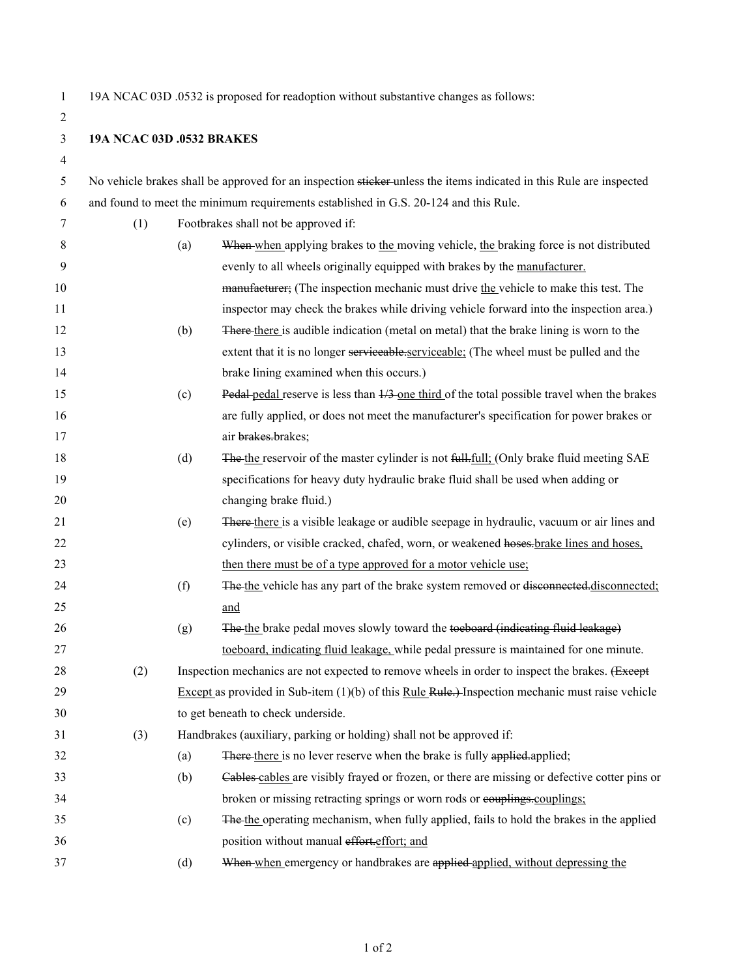2

1 19A NCAC 03D .0532 is proposed for readoption without substantive changes as follows:

## 3 **19A NCAC 03D .0532 BRAKES**

| I |  |
|---|--|
|   |  |
|   |  |

| 5  | No vehicle brakes shall be approved for an inspection sticker-unless the items indicated in this Rule are inspected |                                                                                                    |                                                                                                       |
|----|---------------------------------------------------------------------------------------------------------------------|----------------------------------------------------------------------------------------------------|-------------------------------------------------------------------------------------------------------|
| 6  | and found to meet the minimum requirements established in G.S. 20-124 and this Rule.                                |                                                                                                    |                                                                                                       |
| 7  | (1)                                                                                                                 | Footbrakes shall not be approved if:                                                               |                                                                                                       |
| 8  |                                                                                                                     | (a)                                                                                                | When when applying brakes to the moving vehicle, the braking force is not distributed                 |
| 9  |                                                                                                                     |                                                                                                    | evenly to all wheels originally equipped with brakes by the manufacturer.                             |
| 10 |                                                                                                                     |                                                                                                    | manufacturer; (The inspection mechanic must drive the vehicle to make this test. The                  |
| 11 |                                                                                                                     |                                                                                                    | inspector may check the brakes while driving vehicle forward into the inspection area.)               |
| 12 |                                                                                                                     | (b)                                                                                                | There there is audible indication (metal on metal) that the brake lining is worn to the               |
| 13 |                                                                                                                     |                                                                                                    | extent that it is no longer serviceable.serviceable: (The wheel must be pulled and the                |
| 14 |                                                                                                                     |                                                                                                    | brake lining examined when this occurs.)                                                              |
| 15 |                                                                                                                     | (c)                                                                                                | Pedal pedal reserve is less than $\frac{1}{3}$ one third of the total possible travel when the brakes |
| 16 |                                                                                                                     |                                                                                                    | are fully applied, or does not meet the manufacturer's specification for power brakes or              |
| 17 |                                                                                                                     |                                                                                                    | air brakes.brakes;                                                                                    |
| 18 |                                                                                                                     | (d)                                                                                                | The the reservoir of the master cylinder is not full. full: (Only brake fluid meeting SAE             |
| 19 |                                                                                                                     |                                                                                                    | specifications for heavy duty hydraulic brake fluid shall be used when adding or                      |
| 20 |                                                                                                                     |                                                                                                    | changing brake fluid.)                                                                                |
| 21 |                                                                                                                     | (e)                                                                                                | There-there is a visible leakage or audible seepage in hydraulic, vacuum or air lines and             |
| 22 |                                                                                                                     |                                                                                                    | cylinders, or visible cracked, chafed, worn, or weakened hoses. brake lines and hoses,                |
| 23 |                                                                                                                     |                                                                                                    | then there must be of a type approved for a motor vehicle use:                                        |
| 24 |                                                                                                                     | (f)                                                                                                | The the vehicle has any part of the brake system removed or disconnected-disconnected:                |
| 25 |                                                                                                                     |                                                                                                    | and                                                                                                   |
| 26 |                                                                                                                     | (g)                                                                                                | The the brake pedal moves slowly toward the toeboard (indicating fluid leakage)                       |
| 27 |                                                                                                                     |                                                                                                    | toeboard, indicating fluid leakage, while pedal pressure is maintained for one minute.                |
| 28 | (2)                                                                                                                 |                                                                                                    | Inspection mechanics are not expected to remove wheels in order to inspect the brakes. (Except        |
| 29 |                                                                                                                     | Except as provided in Sub-item $(1)(b)$ of this Rule Rule.) Inspection mechanic must raise vehicle |                                                                                                       |
| 30 |                                                                                                                     | to get beneath to check underside.                                                                 |                                                                                                       |
| 31 | (3)                                                                                                                 | Handbrakes (auxiliary, parking or holding) shall not be approved if:                               |                                                                                                       |
| 32 |                                                                                                                     | (a)                                                                                                | There there is no lever reserve when the brake is fully applied.applied;                              |
| 33 |                                                                                                                     | (b)                                                                                                | Cables cables are visibly frayed or frozen, or there are missing or defective cotter pins or          |
| 34 |                                                                                                                     |                                                                                                    | broken or missing retracting springs or worn rods or eouplings-couplings;                             |
| 35 |                                                                                                                     | (c)                                                                                                | The the operating mechanism, when fully applied, fails to hold the brakes in the applied              |
| 36 |                                                                                                                     |                                                                                                    | position without manual effort.effort; and                                                            |
| 37 |                                                                                                                     | (d)                                                                                                | When when emergency or handbrakes are applied applied, without depressing the                         |